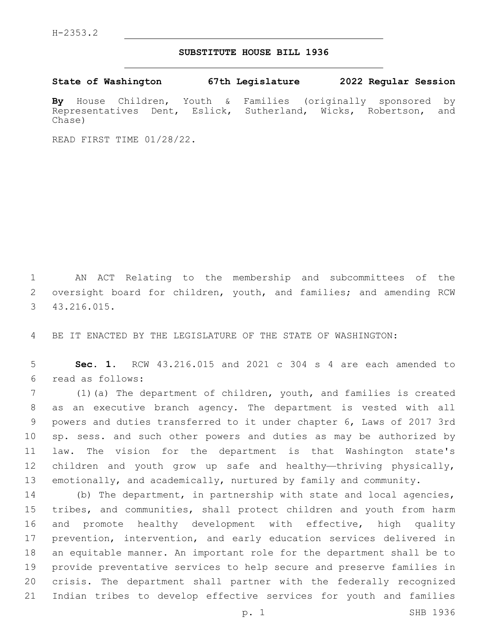## **SUBSTITUTE HOUSE BILL 1936**

**State of Washington 67th Legislature 2022 Regular Session**

**By** House Children, Youth & Families (originally sponsored by Representatives Dent, Eslick, Sutherland, Wicks, Robertson, and Chase)

READ FIRST TIME 01/28/22.

 AN ACT Relating to the membership and subcommittees of the 2 oversight board for children, youth, and families; and amending RCW 43.216.015.3

BE IT ENACTED BY THE LEGISLATURE OF THE STATE OF WASHINGTON:

 **Sec. 1.** RCW 43.216.015 and 2021 c 304 s 4 are each amended to read as follows:6

 (1)(a) The department of children, youth, and families is created as an executive branch agency. The department is vested with all powers and duties transferred to it under chapter 6, Laws of 2017 3rd sp. sess. and such other powers and duties as may be authorized by law. The vision for the department is that Washington state's children and youth grow up safe and healthy—thriving physically, emotionally, and academically, nurtured by family and community.

 (b) The department, in partnership with state and local agencies, tribes, and communities, shall protect children and youth from harm and promote healthy development with effective, high quality prevention, intervention, and early education services delivered in an equitable manner. An important role for the department shall be to provide preventative services to help secure and preserve families in crisis. The department shall partner with the federally recognized Indian tribes to develop effective services for youth and families

p. 1 SHB 1936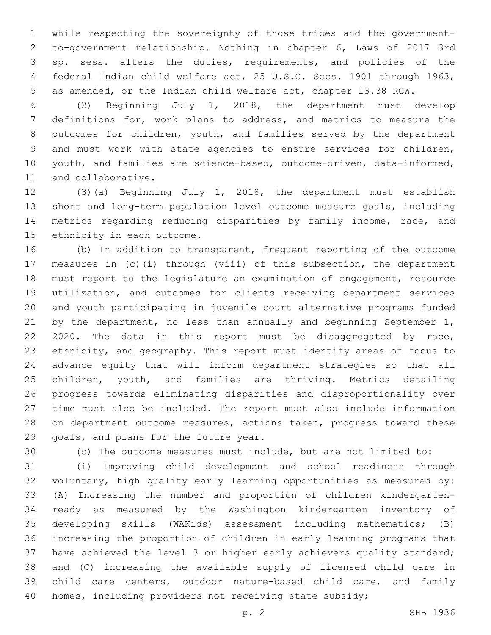while respecting the sovereignty of those tribes and the government- to-government relationship. Nothing in chapter 6, Laws of 2017 3rd sp. sess. alters the duties, requirements, and policies of the federal Indian child welfare act, 25 U.S.C. Secs. 1901 through 1963, as amended, or the Indian child welfare act, chapter 13.38 RCW.

 (2) Beginning July 1, 2018, the department must develop definitions for, work plans to address, and metrics to measure the outcomes for children, youth, and families served by the department and must work with state agencies to ensure services for children, youth, and families are science-based, outcome-driven, data-informed, 11 and collaborative.

 (3)(a) Beginning July 1, 2018, the department must establish short and long-term population level outcome measure goals, including metrics regarding reducing disparities by family income, race, and 15 ethnicity in each outcome.

 (b) In addition to transparent, frequent reporting of the outcome measures in (c)(i) through (viii) of this subsection, the department must report to the legislature an examination of engagement, resource utilization, and outcomes for clients receiving department services and youth participating in juvenile court alternative programs funded 21 by the department, no less than annually and beginning September 1, 2020. The data in this report must be disaggregated by race, ethnicity, and geography. This report must identify areas of focus to advance equity that will inform department strategies so that all children, youth, and families are thriving. Metrics detailing progress towards eliminating disparities and disproportionality over time must also be included. The report must also include information on department outcome measures, actions taken, progress toward these 29 goals, and plans for the future year.

(c) The outcome measures must include, but are not limited to:

 (i) Improving child development and school readiness through voluntary, high quality early learning opportunities as measured by: (A) Increasing the number and proportion of children kindergarten- ready as measured by the Washington kindergarten inventory of developing skills (WAKids) assessment including mathematics; (B) increasing the proportion of children in early learning programs that have achieved the level 3 or higher early achievers quality standard; and (C) increasing the available supply of licensed child care in child care centers, outdoor nature-based child care, and family 40 homes, including providers not receiving state subsidy;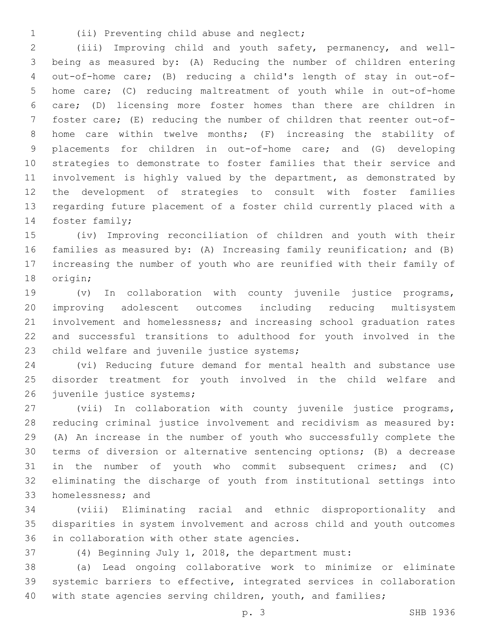- 
- (ii) Preventing child abuse and neglect;1

 (iii) Improving child and youth safety, permanency, and well- being as measured by: (A) Reducing the number of children entering out-of-home care; (B) reducing a child's length of stay in out-of- home care; (C) reducing maltreatment of youth while in out-of-home care; (D) licensing more foster homes than there are children in foster care; (E) reducing the number of children that reenter out-of- home care within twelve months; (F) increasing the stability of placements for children in out-of-home care; and (G) developing strategies to demonstrate to foster families that their service and involvement is highly valued by the department, as demonstrated by the development of strategies to consult with foster families regarding future placement of a foster child currently placed with a 14 foster family;

 (iv) Improving reconciliation of children and youth with their families as measured by: (A) Increasing family reunification; and (B) increasing the number of youth who are reunified with their family of 18 origin;

 (v) In collaboration with county juvenile justice programs, improving adolescent outcomes including reducing multisystem involvement and homelessness; and increasing school graduation rates and successful transitions to adulthood for youth involved in the 23 child welfare and juvenile justice systems;

 (vi) Reducing future demand for mental health and substance use disorder treatment for youth involved in the child welfare and 26 juvenile justice systems;

 (vii) In collaboration with county juvenile justice programs, reducing criminal justice involvement and recidivism as measured by: (A) An increase in the number of youth who successfully complete the terms of diversion or alternative sentencing options; (B) a decrease in the number of youth who commit subsequent crimes; and (C) eliminating the discharge of youth from institutional settings into 33 homelessness; and

 (viii) Eliminating racial and ethnic disproportionality and disparities in system involvement and across child and youth outcomes 36 in collaboration with other state agencies.

(4) Beginning July 1, 2018, the department must:

 (a) Lead ongoing collaborative work to minimize or eliminate systemic barriers to effective, integrated services in collaboration 40 with state agencies serving children, youth, and families;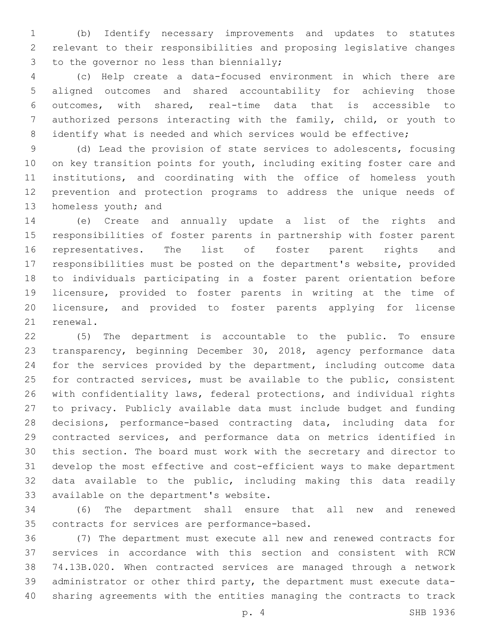(b) Identify necessary improvements and updates to statutes relevant to their responsibilities and proposing legislative changes 3 to the governor no less than biennially;

 (c) Help create a data-focused environment in which there are aligned outcomes and shared accountability for achieving those outcomes, with shared, real-time data that is accessible to authorized persons interacting with the family, child, or youth to 8 identify what is needed and which services would be effective;

 (d) Lead the provision of state services to adolescents, focusing on key transition points for youth, including exiting foster care and institutions, and coordinating with the office of homeless youth prevention and protection programs to address the unique needs of 13 homeless youth; and

 (e) Create and annually update a list of the rights and responsibilities of foster parents in partnership with foster parent representatives. The list of foster parent rights and responsibilities must be posted on the department's website, provided to individuals participating in a foster parent orientation before licensure, provided to foster parents in writing at the time of licensure, and provided to foster parents applying for license 21 renewal.

 (5) The department is accountable to the public. To ensure transparency, beginning December 30, 2018, agency performance data for the services provided by the department, including outcome data for contracted services, must be available to the public, consistent with confidentiality laws, federal protections, and individual rights to privacy. Publicly available data must include budget and funding decisions, performance-based contracting data, including data for contracted services, and performance data on metrics identified in this section. The board must work with the secretary and director to develop the most effective and cost-efficient ways to make department data available to the public, including making this data readily 33 available on the department's website.

 (6) The department shall ensure that all new and renewed 35 contracts for services are performance-based.

 (7) The department must execute all new and renewed contracts for services in accordance with this section and consistent with RCW 74.13B.020. When contracted services are managed through a network administrator or other third party, the department must execute data-sharing agreements with the entities managing the contracts to track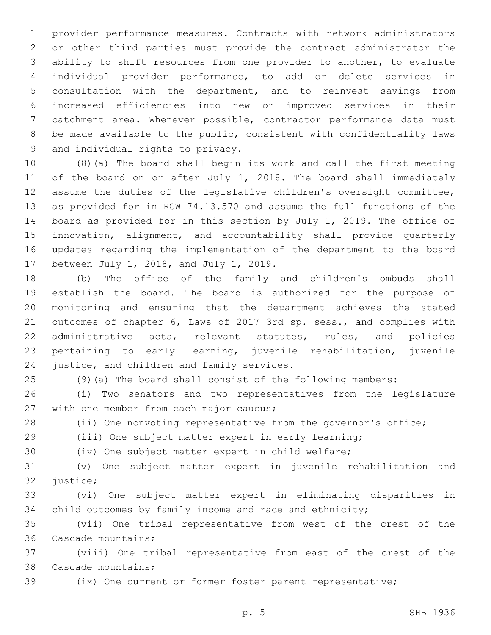provider performance measures. Contracts with network administrators or other third parties must provide the contract administrator the ability to shift resources from one provider to another, to evaluate individual provider performance, to add or delete services in consultation with the department, and to reinvest savings from increased efficiencies into new or improved services in their catchment area. Whenever possible, contractor performance data must be made available to the public, consistent with confidentiality laws 9 and individual rights to privacy.

 (8)(a) The board shall begin its work and call the first meeting of the board on or after July 1, 2018. The board shall immediately assume the duties of the legislative children's oversight committee, as provided for in RCW 74.13.570 and assume the full functions of the board as provided for in this section by July 1, 2019. The office of innovation, alignment, and accountability shall provide quarterly updates regarding the implementation of the department to the board 17 between July 1, 2018, and July 1, 2019.

 (b) The office of the family and children's ombuds shall establish the board. The board is authorized for the purpose of monitoring and ensuring that the department achieves the stated outcomes of chapter 6, Laws of 2017 3rd sp. sess., and complies with administrative acts, relevant statutes, rules, and policies pertaining to early learning, juvenile rehabilitation, juvenile 24 justice, and children and family services.

(9)(a) The board shall consist of the following members:

 (i) Two senators and two representatives from the legislature 27 with one member from each major caucus;

(ii) One nonvoting representative from the governor's office;

(iii) One subject matter expert in early learning;

(iv) One subject matter expert in child welfare;

 (v) One subject matter expert in juvenile rehabilitation and 32 justice;

 (vi) One subject matter expert in eliminating disparities in 34 child outcomes by family income and race and ethnicity;

 (vii) One tribal representative from west of the crest of the 36 Cascade mountains;

 (viii) One tribal representative from east of the crest of the 38 Cascade mountains;

(ix) One current or former foster parent representative;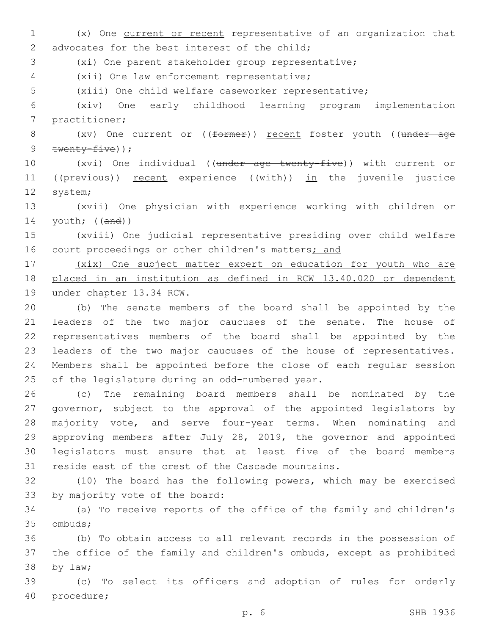(x) One current or recent representative of an organization that 2 advocates for the best interest of the child; (xi) One parent stakeholder group representative; (xii) One law enforcement representative;4 (xiii) One child welfare caseworker representative; (xiv) One early childhood learning program implementation 7 practitioner; 8 (xv) One current or ((former)) recent foster youth ((under age 9 twenty-five)); (xvi) One individual ((under age twenty-five)) with current or 11 ((previous)) recent experience ((with)) in the juvenile justice 12 system; (xvii) One physician with experience working with children or youth; ((and)) (xviii) One judicial representative presiding over child welfare 16 court proceedings or other children's matters; and (xix) One subject matter expert on education for youth who are placed in an institution as defined in RCW 13.40.020 or dependent 19 under chapter 13.34 RCW. (b) The senate members of the board shall be appointed by the leaders of the two major caucuses of the senate. The house of representatives members of the board shall be appointed by the leaders of the two major caucuses of the house of representatives. Members shall be appointed before the close of each regular session 25 of the legislature during an odd-numbered year. (c) The remaining board members shall be nominated by the governor, subject to the approval of the appointed legislators by majority vote, and serve four-year terms. When nominating and approving members after July 28, 2019, the governor and appointed legislators must ensure that at least five of the board members reside east of the crest of the Cascade mountains. (10) The board has the following powers, which may be exercised 33 by majority vote of the board: (a) To receive reports of the office of the family and children's 35 ombuds; (b) To obtain access to all relevant records in the possession of the office of the family and children's ombuds, except as prohibited 38 by law; (c) To select its officers and adoption of rules for orderly 40 procedure;

p. 6 SHB 1936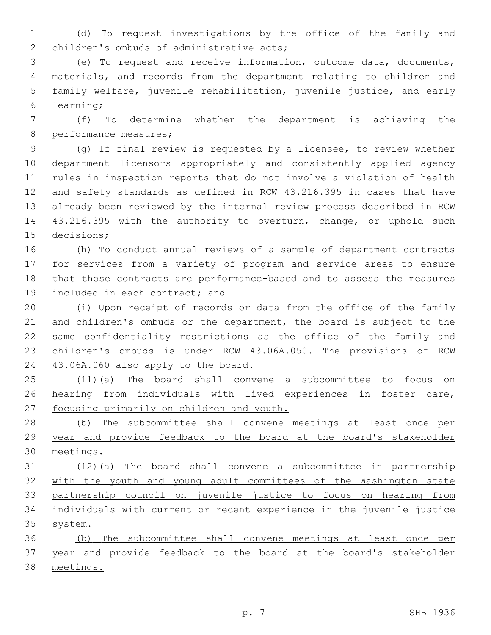(d) To request investigations by the office of the family and 2 children's ombuds of administrative acts;

 (e) To request and receive information, outcome data, documents, materials, and records from the department relating to children and family welfare, juvenile rehabilitation, juvenile justice, and early learning;6

 (f) To determine whether the department is achieving the 8 performance measures;

 (g) If final review is requested by a licensee, to review whether department licensors appropriately and consistently applied agency rules in inspection reports that do not involve a violation of health and safety standards as defined in RCW 43.216.395 in cases that have already been reviewed by the internal review process described in RCW 43.216.395 with the authority to overturn, change, or uphold such 15 decisions:

 (h) To conduct annual reviews of a sample of department contracts for services from a variety of program and service areas to ensure that those contracts are performance-based and to assess the measures 19 included in each contract; and

 (i) Upon receipt of records or data from the office of the family and children's ombuds or the department, the board is subject to the same confidentiality restrictions as the office of the family and children's ombuds is under RCW 43.06A.050. The provisions of RCW 24 43.06A.060 also apply to the board.

 (11)(a) The board shall convene a subcommittee to focus on hearing from individuals with lived experiences in foster care, focusing primarily on children and youth.

 (b) The subcommittee shall convene meetings at least once per year and provide feedback to the board at the board's stakeholder meetings.

 (12)(a) The board shall convene a subcommittee in partnership with the youth and young adult committees of the Washington state partnership council on juvenile justice to focus on hearing from individuals with current or recent experience in the juvenile justice system.

 (b) The subcommittee shall convene meetings at least once per year and provide feedback to the board at the board's stakeholder meetings.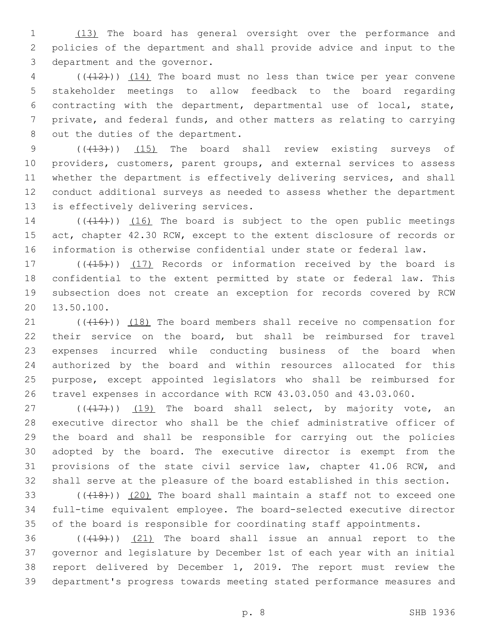(13) The board has general oversight over the performance and policies of the department and shall provide advice and input to the 3 department and the governor.

 (( $(12)$ )) (14) The board must no less than twice per year convene stakeholder meetings to allow feedback to the board regarding contracting with the department, departmental use of local, state, private, and federal funds, and other matters as relating to carrying 8 out the duties of the department.

9 (( $(13)$ )) (15) The board shall review existing surveys of providers, customers, parent groups, and external services to assess whether the department is effectively delivering services, and shall conduct additional surveys as needed to assess whether the department 13 is effectively delivering services.

14 (( $(14)$ )) (16) The board is subject to the open public meetings 15 act, chapter 42.30 RCW, except to the extent disclosure of records or information is otherwise confidential under state or federal law.

17 (((415))) (17) Records or information received by the board is confidential to the extent permitted by state or federal law. This subsection does not create an exception for records covered by RCW 20 13.50.100.

21 (((416))) (18) The board members shall receive no compensation for their service on the board, but shall be reimbursed for travel expenses incurred while conducting business of the board when authorized by the board and within resources allocated for this purpose, except appointed legislators who shall be reimbursed for travel expenses in accordance with RCW 43.03.050 and 43.03.060.

 $(17)$  ( $(17)$ )) (19) The board shall select, by majority vote, an executive director who shall be the chief administrative officer of the board and shall be responsible for carrying out the policies adopted by the board. The executive director is exempt from the provisions of the state civil service law, chapter 41.06 RCW, and shall serve at the pleasure of the board established in this section.

 $(148)$ ) (20) The board shall maintain a staff not to exceed one full-time equivalent employee. The board-selected executive director of the board is responsible for coordinating staff appointments.

 ( $(419)$ )  $(21)$  The board shall issue an annual report to the governor and legislature by December 1st of each year with an initial report delivered by December 1, 2019. The report must review the department's progress towards meeting stated performance measures and